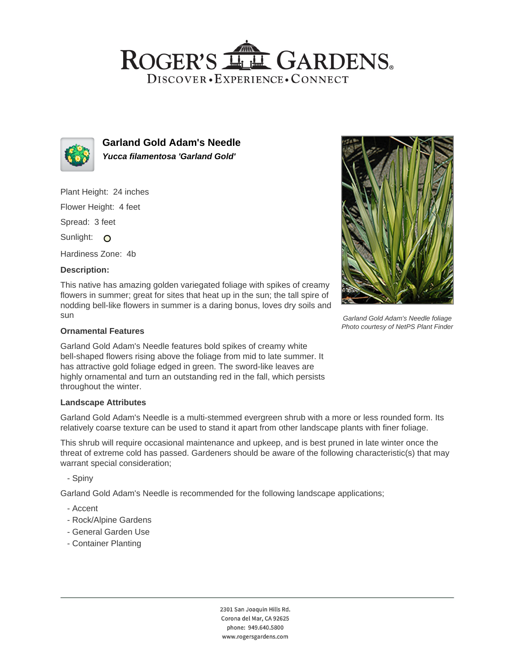## ROGER'S LL GARDENS. DISCOVER · EXPERIENCE · CONNECT



**Garland Gold Adam's Needle Yucca filamentosa 'Garland Gold'**

Plant Height: 24 inches

Flower Height: 4 feet

Spread: 3 feet

Sunlight: O

Hardiness Zone: 4b

## **Description:**

This native has amazing golden variegated foliage with spikes of creamy flowers in summer; great for sites that heat up in the sun; the tall spire of nodding bell-like flowers in summer is a daring bonus, loves dry soils and sun

#### **Ornamental Features**

Garland Gold Adam's Needle features bold spikes of creamy white bell-shaped flowers rising above the foliage from mid to late summer. It has attractive gold foliage edged in green. The sword-like leaves are highly ornamental and turn an outstanding red in the fall, which persists throughout the winter.

#### **Landscape Attributes**

Garland Gold Adam's Needle is a multi-stemmed evergreen shrub with a more or less rounded form. Its relatively coarse texture can be used to stand it apart from other landscape plants with finer foliage.

This shrub will require occasional maintenance and upkeep, and is best pruned in late winter once the threat of extreme cold has passed. Gardeners should be aware of the following characteristic(s) that may warrant special consideration;

- Spiny

Garland Gold Adam's Needle is recommended for the following landscape applications;

- Accent
- Rock/Alpine Gardens
- General Garden Use
- Container Planting





Garland Gold Adam's Needle foliage Photo courtesy of NetPS Plant Finder